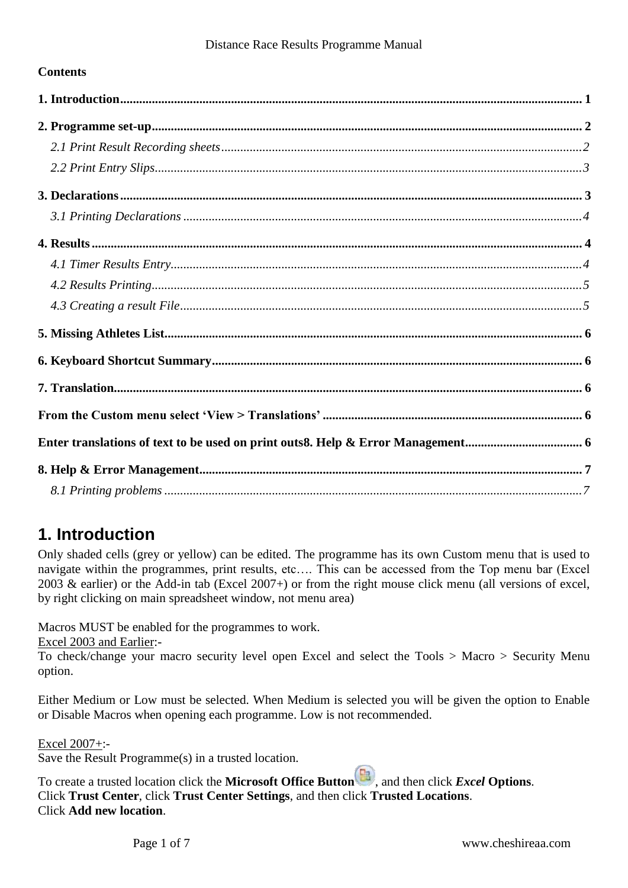### **Contents**

# <span id="page-0-0"></span>**1. Introduction**

Only shaded cells (grey or yellow) can be edited. The programme has its own Custom menu that is used to navigate within the programmes, print results, etc…. This can be accessed from the Top menu bar (Excel 2003 & earlier) or the Add-in tab (Excel 2007+) or from the right mouse click menu (all versions of excel, by right clicking on main spreadsheet window, not menu area)

Macros MUST be enabled for the programmes to work.

Excel 2003 and Earlier:-

To check/change your macro security level open Excel and select the Tools > Macro > Security Menu option.

Either Medium or Low must be selected. When Medium is selected you will be given the option to Enable or Disable Macros when opening each programme. Low is not recommended.

Excel 2007+:-

Save the Result Programme(s) in a trusted location.

To create a trusted location click the **Microsoft Office Button** , and then click *Excel* **Options**. Click **Trust Center**, click **Trust Center Settings**, and then click **Trusted Locations**. Click **Add new location**.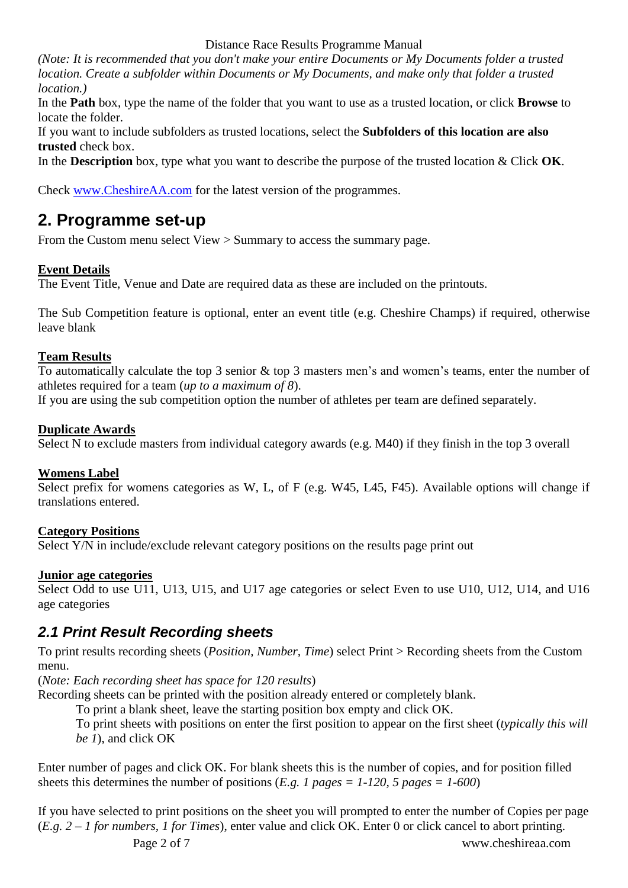#### Distance Race Results Programme Manual

*(Note: It is recommended that you don't make your entire Documents or My Documents folder a trusted location. Create a subfolder within Documents or My Documents, and make only that folder a trusted location.)*

In the **Path** box, type the name of the folder that you want to use as a trusted location, or click **Browse** to locate the folder.

If you want to include subfolders as trusted locations, select the **Subfolders of this location are also trusted** check box.

In the **Description** box, type what you want to describe the purpose of the trusted location & Click **OK**.

Check [www.CheshireAA.com](http://cheshireaa.com/Results) for the latest version of the programmes.

## <span id="page-1-0"></span>**2. Programme set-up**

From the Custom menu select View > Summary to access the summary page.

### **Event Details**

The Event Title, Venue and Date are required data as these are included on the printouts.

The Sub Competition feature is optional, enter an event title (e.g. Cheshire Champs) if required, otherwise leave blank

### **Team Results**

To automatically calculate the top 3 senior & top 3 masters men's and women's teams, enter the number of athletes required for a team (*up to a maximum of 8*).

If you are using the sub competition option the number of athletes per team are defined separately.

### **Duplicate Awards**

Select N to exclude masters from individual category awards (e.g. M40) if they finish in the top 3 overall

### **Womens Label**

Select prefix for womens categories as W, L, of F (e.g. W45, L45, F45). Available options will change if translations entered.

### **Category Positions**

Select Y/N in include/exclude relevant category positions on the results page print out

### **Junior age categories**

Select Odd to use U11, U13, U15, and U17 age categories or select Even to use U10, U12, U14, and U16 age categories

### <span id="page-1-1"></span>*2.1 Print Result Recording sheets*

To print results recording sheets (*Position, Number, Time*) select Print > Recording sheets from the Custom menu.

(*Note: Each recording sheet has space for 120 results*)

Recording sheets can be printed with the position already entered or completely blank.

To print a blank sheet, leave the starting position box empty and click OK.

To print sheets with positions on enter the first position to appear on the first sheet (*typically this will be 1*), and click OK

Enter number of pages and click OK. For blank sheets this is the number of copies, and for position filled sheets this determines the number of positions (*E.g. 1 pages = 1-120, 5 pages = 1-600*)

Page 2 of 7 www.cheshireaa.com If you have selected to print positions on the sheet you will prompted to enter the number of Copies per page (*E.g. 2 – 1 for numbers, 1 for Times*), enter value and click OK. Enter 0 or click cancel to abort printing.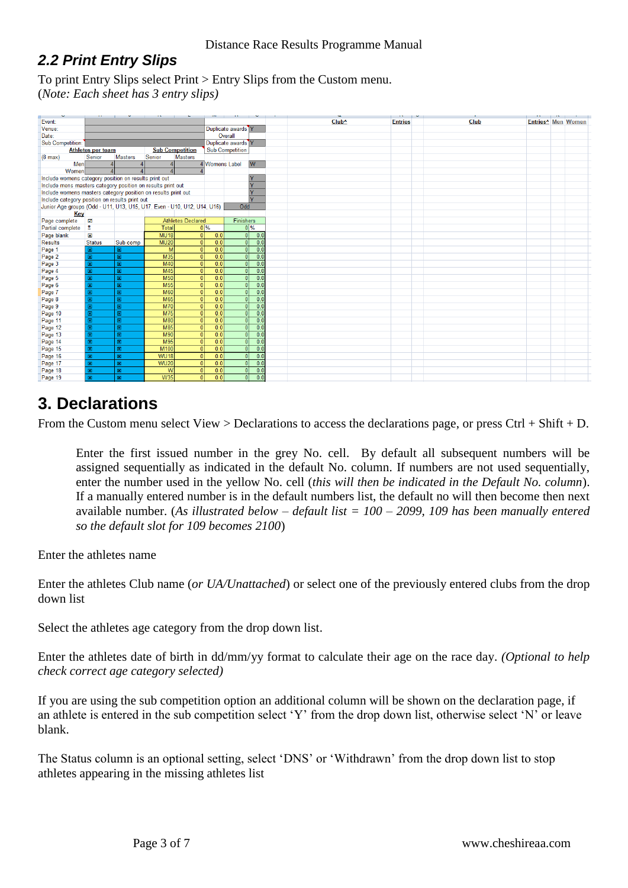## <span id="page-2-0"></span>*2.2 Print Entry Slips*

To print Entry Slips select Print > Entry Slips from the Custom menu. (*Note: Each sheet has 3 entry slips)*

| ÷                                                           | <b>SALE</b>              | the state of the state of the state of the | $\overline{\phantom{0}}$                                                |                        |                               |
|-------------------------------------------------------------|--------------------------|--------------------------------------------|-------------------------------------------------------------------------|------------------------|-------------------------------|
| Event:                                                      |                          |                                            |                                                                         |                        |                               |
| Venue:                                                      |                          |                                            |                                                                         |                        | Duplicate awards <sup>Y</sup> |
| Date:                                                       |                          |                                            |                                                                         |                        | Overall                       |
| <b>Sub Competition:</b>                                     |                          |                                            |                                                                         |                        | Duplicate awards <sup>Y</sup> |
|                                                             | <b>Athletes per team</b> |                                            | <b>Sub Competition</b>                                                  |                        | <b>Sub Competition</b>        |
| $(8 \text{ max})$                                           | Senior                   | <b>Masters</b>                             | Senior<br><b>Masters</b>                                                |                        |                               |
| Men                                                         |                          |                                            |                                                                         | 4 Womens Label         | W                             |
| Women                                                       |                          |                                            |                                                                         |                        |                               |
| Include womens category position on results print out       |                          |                                            |                                                                         |                        | lv                            |
| Include mens masters category position on results print out |                          |                                            |                                                                         |                        | ⊽                             |
|                                                             |                          |                                            | Include womens masters category position on results print out           |                        | ĪY                            |
| Include category position on results print out              |                          |                                            |                                                                         |                        | ĪY                            |
|                                                             |                          |                                            | Junior Age groups (Odd - U11, U13, U15, U17. Even - U10, U12, U14, U16) |                        | Odd                           |
| Key                                                         |                          |                                            |                                                                         |                        |                               |
| Page complete                                               | ◙                        |                                            | <b>Athletes Declared</b>                                                |                        | Finishers                     |
| Partial complete                                            | 8                        |                                            | <b>Total</b>                                                            | $0\%$                  | $0\%$                         |
| Page blank                                                  | $\mathbf{x}$             |                                            | <b>MU18</b>                                                             | 0 <br>0.0              | $\mathbf{0}$<br>0.0           |
| <b>Results</b>                                              | <b>Status</b>            | Sub comp                                   | <b>MU20</b>                                                             | 0 <br>0.0              | $\overline{0}$<br>0.0         |
| Page 1                                                      | $\boxtimes$              | 図                                          | M                                                                       | 0.0<br> 0              | $\overline{0}$<br>0.0         |
| Page 2                                                      | 図                        | 図                                          | M35                                                                     | 0.0<br>$\Omega$        | $\overline{0}$<br>0.0         |
| Page 3                                                      | $\overline{\mathbf{x}}$  | 図                                          | M40                                                                     | 0.0<br>$\Omega$        | $\overline{0}$<br>0.0         |
| Page 4                                                      | 図                        | 図                                          | M45                                                                     | 0.0<br>$\Omega$        | $\mathbf{0}$<br>0.0           |
| Page 5                                                      | 図                        | 図                                          | M <sub>50</sub>                                                         | 0.0<br> 0              | 0.0<br>$\mathbf{0}$           |
| Page 6                                                      | 図                        | 図                                          | M <sub>55</sub>                                                         | 0.0<br> 0              | $\overline{0}$<br>0.0         |
| Page 7                                                      | 図                        | 図                                          | <b>M60</b>                                                              | 0.0<br> 0              | 0.0<br>$\overline{0}$         |
| Page 8                                                      | $\overline{\mathbf{z}}$  | $\mathbf{\overline{z}}$                    | M65                                                                     | 0.0<br>$\overline{0}$  | $\overline{0}$<br>0.0         |
| Page 9                                                      | $\overline{\mathbf{x}}$  | $\overline{\mathbf{z}}$                    | M70                                                                     | 0.0<br>$\overline{0}$  | $\overline{0}$<br>0.0         |
| Page 10                                                     | ×                        | 図                                          | M75                                                                     | $\overline{0.0}$<br> 0 | $\overline{0}$<br>0.0         |
| Page 11                                                     | Ø                        | $\mathbf{\overline{z}}$                    | M80                                                                     | $\overline{0.0}$<br> 0 | $\overline{0}$<br>0.0         |
| Page 12                                                     | $\overline{\mathbf{x}}$  | 図                                          | <b>M85</b>                                                              | 0.0<br>$\Omega$        | 0.0<br>$\overline{0}$         |
| Page 13                                                     | $\overline{\mathbf{x}}$  | 図                                          | M90                                                                     | 0.0<br>$\Omega$        | $\overline{0}$<br>0.0         |
| Page 14                                                     | $\overline{\mathbf{x}}$  | 図                                          | M95                                                                     | 0.0<br>$\mathbf{0}$    | $\overline{0}$<br>0.0         |
| Page 15                                                     | 図                        | 図                                          | M100                                                                    | 0.0<br>$\Omega$        | $\overline{0}$<br>0.0         |
| Page 16                                                     | 図                        | 図                                          | <b>WU18</b>                                                             | 0.0<br> 0              | $\overline{0}$<br>0.0         |
| Page 17                                                     | ⊠                        | 図                                          | <b>WU20</b>                                                             | 0.0<br>$\overline{0}$  | 0.0<br>$\overline{0}$         |
| Page 18                                                     | $\mathbf{x}$             | $\mathbf{\overline{z}}$                    | W                                                                       | 0.0<br>$\overline{0}$  | 0.0<br>$\mathbf{0}$           |
| Page 19                                                     | 図                        | 図                                          | <b>W35</b>                                                              | 0.0<br>$\Omega$        | 0.0<br>n                      |
|                                                             |                          |                                            |                                                                         |                        |                               |

## <span id="page-2-1"></span>**3. Declarations**

From the Custom menu select View > Declarations to access the declarations page, or press  $\text{Ctrl} + \text{Shift} + \text{D}$ .

Enter the first issued number in the grey No. cell. By default all subsequent numbers will be assigned sequentially as indicated in the default No. column. If numbers are not used sequentially, enter the number used in the yellow No. cell (*this will then be indicated in the Default No. column*). If a manually entered number is in the default numbers list, the default no will then become then next available number. (*As illustrated below – default list = 100 – 2099, 109 has been manually entered so the default slot for 109 becomes 2100*)

Enter the athletes name

Enter the athletes Club name (*or UA/Unattached*) or select one of the previously entered clubs from the drop down list

Select the athletes age category from the drop down list.

Enter the athletes date of birth in dd/mm/yy format to calculate their age on the race day. *(Optional to help check correct age category selected)*

If you are using the sub competition option an additional column will be shown on the declaration page, if an athlete is entered in the sub competition select 'Y' from the drop down list, otherwise select 'N' or leave blank.

The Status column is an optional setting, select 'DNS' or 'Withdrawn' from the drop down list to stop athletes appearing in the missing athletes list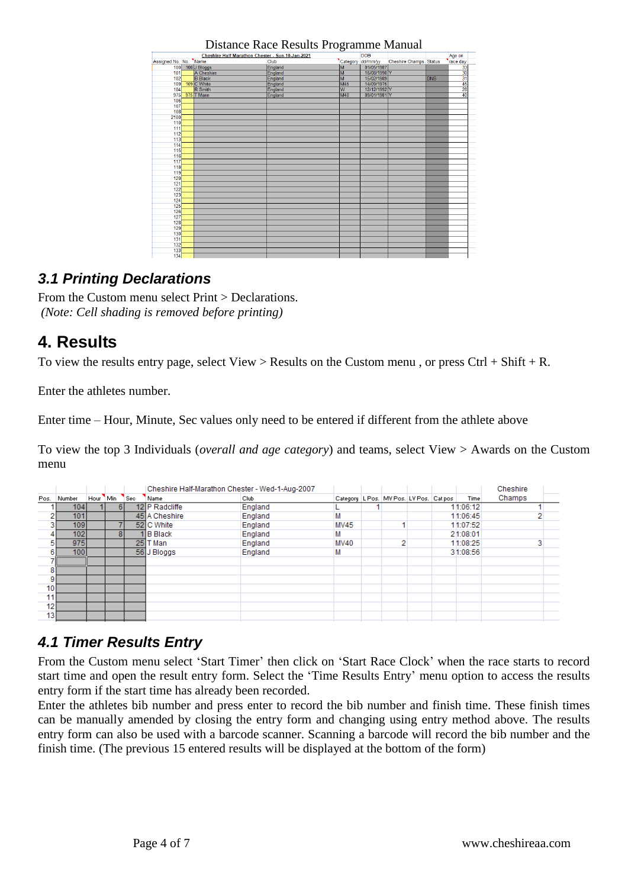|                       | Cheshire Half Marathon Chester - Sun-10-Jan-2021 |         |                | <b>DOB</b>        |                               |            | Age on                     |  |
|-----------------------|--------------------------------------------------|---------|----------------|-------------------|-------------------------------|------------|----------------------------|--|
| Assigned No. No. Name |                                                  | Club    |                | Category dd/mm/yy | <b>Cheshire Champs Status</b> |            | race day                   |  |
| 100                   | 100 J Bloggs                                     | England | M              | 01/05/1987        |                               |            |                            |  |
| 101                   | A Cheshire                                       | England | M              | 16/08/1990 Y      |                               |            |                            |  |
| 102                   | <b>B</b> Black                                   | England | M              | 15/02/1989        |                               | <b>DNS</b> |                            |  |
| 109                   | 109 C White                                      | England | M45            | 14/09/1975        |                               |            |                            |  |
| 104                   | R Smith                                          | England | $\overline{w}$ | 12/12/1992 Y      |                               |            | e <mark>a # 4</mark> 3 3 3 |  |
| 975                   | 975 T Mann                                       | England | M40            | 09/01/1981 Y      |                               |            |                            |  |
| 106                   |                                                  |         |                |                   |                               |            |                            |  |
| 107                   |                                                  |         |                |                   |                               |            |                            |  |
| 108                   |                                                  |         |                |                   |                               |            |                            |  |
| 2100                  |                                                  |         |                |                   |                               |            |                            |  |
| 110                   |                                                  |         |                |                   |                               |            |                            |  |
| 111                   |                                                  |         |                |                   |                               |            |                            |  |
| 112                   |                                                  |         |                |                   |                               |            |                            |  |
| 113                   |                                                  |         |                |                   |                               |            |                            |  |
| 114                   |                                                  |         |                |                   |                               |            |                            |  |
| 115                   |                                                  |         |                |                   |                               |            |                            |  |
| 116                   |                                                  |         |                |                   |                               |            |                            |  |
| 117                   |                                                  |         |                |                   |                               |            |                            |  |
| 118                   |                                                  |         |                |                   |                               |            |                            |  |
| 119                   |                                                  |         |                |                   |                               |            |                            |  |
| 120                   |                                                  |         |                |                   |                               |            |                            |  |
| 121                   |                                                  |         |                |                   |                               |            |                            |  |
| 122                   |                                                  |         |                |                   |                               |            |                            |  |
| 123                   |                                                  |         |                |                   |                               |            |                            |  |
| 124                   |                                                  |         |                |                   |                               |            |                            |  |
| 125                   |                                                  |         |                |                   |                               |            |                            |  |
| 126                   |                                                  |         |                |                   |                               |            |                            |  |
| 127                   |                                                  |         |                |                   |                               |            |                            |  |
| 128                   |                                                  |         |                |                   |                               |            |                            |  |
| 129<br>130            |                                                  |         |                |                   |                               |            |                            |  |
| 131                   |                                                  |         |                |                   |                               |            |                            |  |
|                       |                                                  |         |                |                   |                               |            |                            |  |
| 132                   |                                                  |         |                |                   |                               |            |                            |  |
| 133                   |                                                  |         |                |                   |                               |            |                            |  |
| 134                   |                                                  |         |                |                   |                               |            |                            |  |

Distance Race Results Programme Manual

### <span id="page-3-0"></span>*3.1 Printing Declarations*

From the Custom menu select Print > Declarations. *(Note: Cell shading is removed before printing)*

## <span id="page-3-1"></span>**4. Results**

To view the results entry page, select View > Results on the Custom menu, or press  $Ctrl + Shift + R$ .

Enter the athletes number.

Enter time – Hour, Minute, Sec values only need to be entered if different from the athlete above

To view the top 3 Individuals (*overall and age category*) and teams, select View > Awards on the Custom menu

|                 |                  |          |    |                  | Cheshire Half-Marathon Chester - Wed-1-Aug-2007 |         |                                                 |   |  |          | Cheshire |
|-----------------|------------------|----------|----|------------------|-------------------------------------------------|---------|-------------------------------------------------|---|--|----------|----------|
| Pos.            | Number           | Hour Min |    | <sup>1</sup> Sec | Name                                            | Club    | Category   L Pos.   MV Pos.   LV Pos.   Cat pos |   |  | Time     | Champs   |
|                 | 104 I            |          | 6  |                  | 12 P Radcliffe                                  | England |                                                 |   |  | 11:06:12 |          |
| o               | 101              |          |    |                  | 45 A Cheshire                                   | England |                                                 |   |  | 11:06:45 |          |
| ۰,              | 109 <sub>l</sub> |          |    |                  | 52 C White                                      | England | <b>MV45</b>                                     |   |  | 11:07:52 |          |
|                 | 102              |          | 81 |                  | II B Black                                      | England | М                                               |   |  | 21:08:01 |          |
| 5               | 975              |          |    |                  | 25 T Man                                        | England | <b>MV40</b>                                     | 2 |  | 11:08:25 |          |
|                 | 100 <sup>1</sup> |          |    |                  | 56 J Bloggs                                     | England | М                                               |   |  | 31:08:56 |          |
|                 |                  |          |    |                  |                                                 |         |                                                 |   |  |          |          |
| 8               |                  |          |    |                  |                                                 |         |                                                 |   |  |          |          |
| 9               |                  |          |    |                  |                                                 |         |                                                 |   |  |          |          |
| 10 <sup>1</sup> |                  |          |    |                  |                                                 |         |                                                 |   |  |          |          |
| 11 <sub>1</sub> |                  |          |    |                  |                                                 |         |                                                 |   |  |          |          |
| 12              |                  |          |    |                  |                                                 |         |                                                 |   |  |          |          |
| 13 <sub>1</sub> |                  |          |    |                  |                                                 |         |                                                 |   |  |          |          |

## <span id="page-3-2"></span>*4.1 Timer Results Entry*

From the Custom menu select 'Start Timer' then click on 'Start Race Clock' when the race starts to record start time and open the result entry form. Select the 'Time Results Entry' menu option to access the results entry form if the start time has already been recorded.

Enter the athletes bib number and press enter to record the bib number and finish time. These finish times can be manually amended by closing the entry form and changing using entry method above. The results entry form can also be used with a barcode scanner. Scanning a barcode will record the bib number and the finish time. (The previous 15 entered results will be displayed at the bottom of the form)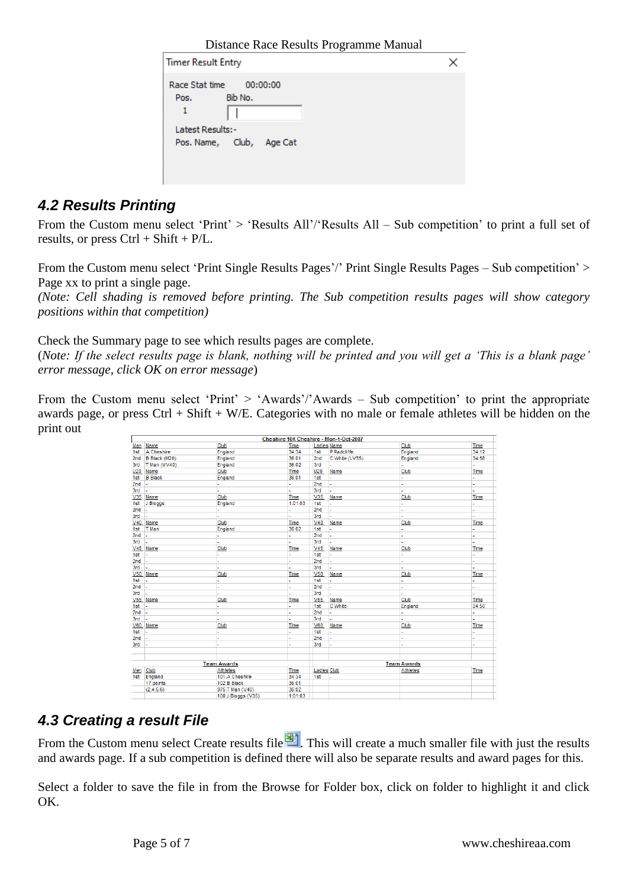Distance Race Results Programme Manual

| <b>Timer Result Entry</b>   |                          |  |
|-----------------------------|--------------------------|--|
| Race Stat time<br>Pos.<br>1 | 00:00:00<br>Bib No.      |  |
| Latest Results:-            | Pos. Name, Club, Age Cat |  |

### <span id="page-4-0"></span>*4.2 Results Printing*

From the Custom menu select 'Print' > 'Results All'/'Results All – Sub competition' to print a full set of results, or press  $Ctrl + Shift + P/L$ .

From the Custom menu select 'Print Single Results Pages'/' Print Single Results Pages – Sub competition' > Page xx to print a single page.

*(Note: Cell shading is removed before printing. The Sub competition results pages will show category positions within that competition)*

Check the Summary page to see which results pages are complete.

(*Note: If the select results page is blank, nothing will be printed and you will get a 'This is a blank page' error message, click OK on error message*)

From the Custom menu select 'Print' > 'Awards'/'Awards – Sub competition' to print the appropriate awards page, or press  $Ctrl + Shift + W/E$ . Categories with no male or female athletes will be hidden on the print out

|         |                          |                    | Cheshire 10K Cheshire - Mon-1-Oct-2007 |                    |                |                    |             |
|---------|--------------------------|--------------------|----------------------------------------|--------------------|----------------|--------------------|-------------|
|         | Men Name                 | Club               | Time                                   | <b>Ladies Name</b> |                | Club               | <b>Time</b> |
| 1st     | A Cheshire               | England            | 34:34                                  | 1st                | P Radcliffe    | England            | 34:12       |
|         | 2nd B Black (M20)        | England            | 36:01                                  | 2nd                | C White (LV55) | England            | 34:56       |
| 3rd     | T Man (MV40)             | England            | 36:02                                  | 3rd                | G.             | ä,                 |             |
| U20     | Name                     | Club               | Time                                   | U20                | Name           | Club               | Time        |
| 1st     | <b>B</b> Black           | England            | 36:01                                  | 1st                |                |                    |             |
| $2nd -$ |                          | ÷.                 | L.                                     | 2nd                | u.             | ÷.                 | ä,          |
| 3rd     | ı.                       | L,                 |                                        | 3rd                |                |                    |             |
|         | V35 Name                 | Club               | Time                                   | V35                | Name           | Club               | Time        |
| 1st     | J Bloggs                 | England            | 1:01:03                                | 1st                |                |                    | ä,          |
| $2nd -$ |                          |                    |                                        | 2nd                |                | ÷                  | ٠           |
| 3rd     | ı.                       | ÷                  |                                        | 3rd                |                | ÷.                 |             |
|         | V40 Name                 | Club               | Time                                   | V40                | Name           | Club               | Time        |
| 1st     | T Man                    | England            | 36:02                                  | 1st                | ÷.             |                    | L,          |
| 2nd     | u.                       | ä,                 | ٠                                      | 2nd                | ä,             | ٠                  | ä,          |
| 3rd     | ı.                       | L,                 |                                        | 3rd                |                |                    |             |
|         | V45 Name                 | Club               | Time                                   | V45                | Name           | Club               | Time        |
| 1st     | $\overline{\phantom{a}}$ | ä,                 |                                        | 1st                |                | ä,                 | ä,          |
| $2nd -$ |                          | ä,                 |                                        | 2nd                |                |                    | ä,          |
| 3rd     | u.                       | ä,                 | i.                                     | 3rd                |                | ÷.                 | ä,          |
|         | V50 Name                 | Club               | Time                                   | V <sub>50</sub>    | Name           | Club               | Time        |
| 1st     | ÷.                       | L.                 | ÷.                                     | 1st                | z.             | ä,                 | ä,          |
| $2nd -$ |                          | ä,                 |                                        | 2 <sub>nd</sub>    |                |                    | ä,          |
| 3rd     |                          |                    |                                        | 3rd                |                |                    |             |
|         | V55 Name                 | Club               | Time                                   | V <sub>55</sub>    | Name           | Club               | Time        |
| 1st     | ×.                       | L,                 | ÷                                      | 1st                | C White        | England            | 34:56       |
| $2nd$ - |                          | ä,                 | ÷.                                     | 2nd                | ÷.             | ÷.                 |             |
| 3rd     | ı.                       | ä,                 |                                        | 3rd                |                |                    |             |
|         | V60 Name                 | Club               | Time                                   | V60                | Name           | Club               | Time        |
| 1st     | ä,                       | L.                 | L,                                     | 1st                |                |                    | L,          |
| 2nd     | L.                       | ä,                 | ÷                                      | 2nd                |                | ٠                  | ÷.          |
| 3rd     | ı.                       | ż                  |                                        | 3rd                |                |                    | ÷           |
|         |                          |                    |                                        |                    |                |                    |             |
|         |                          |                    |                                        |                    |                |                    |             |
|         |                          | <b>Team Awards</b> |                                        |                    |                | <b>Team Awards</b> |             |
| Men     | Club                     | <b>Athletes</b>    | Time                                   | <b>Ladies Club</b> |                | <b>Athletes</b>    | Time        |
| 1st     | England                  | 101.A Cheshire     | 34:34                                  | 1st                |                |                    |             |
|         | 17 points                | 102.B Black        | 36:01                                  |                    |                |                    |             |
|         | (2.4.5.6)                | 975.T Man (V40)    | 36:02                                  |                    |                |                    |             |
|         |                          | 100.J Bloggs (V35) | 1:01:03                                |                    |                |                    |             |
|         |                          |                    |                                        |                    |                |                    |             |

### <span id="page-4-1"></span>*4.3 Creating a result File*

From the Custom menu select Create results file<sup>[24]</sup>. This will create a much smaller file with just the results and awards page. If a sub competition is defined there will also be separate results and award pages for this.

Select a folder to save the file in from the Browse for Folder box, click on folder to highlight it and click OK.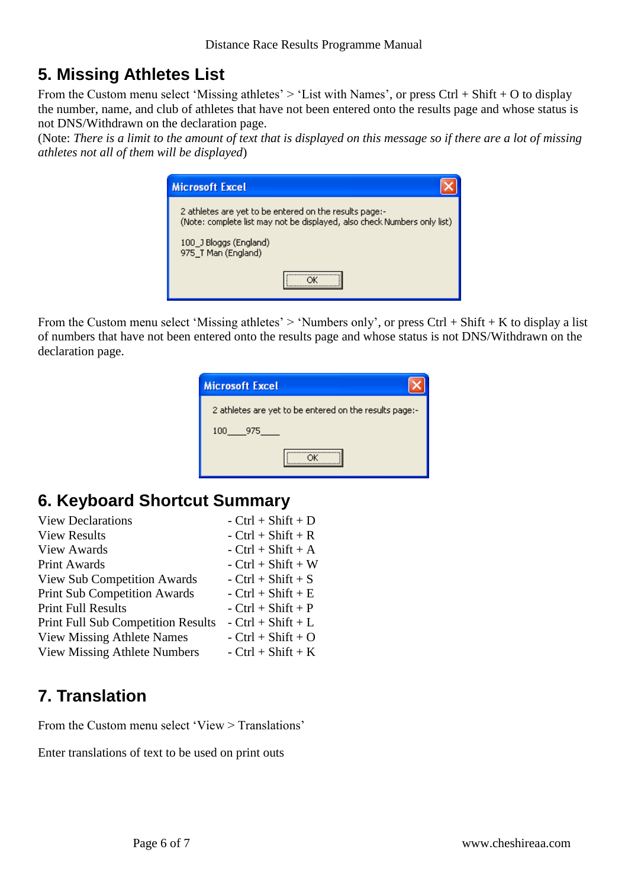# <span id="page-5-0"></span>**5. Missing Athletes List**

From the Custom menu select 'Missing athletes'  $>$  'List with Names', or press Ctrl + Shift + O to display the number, name, and club of athletes that have not been entered onto the results page and whose status is not DNS/Withdrawn on the declaration page.

(Note: *There is a limit to the amount of text that is displayed on this message so if there are a lot of missing athletes not all of them will be displayed*)

| <b>Microsoft Excel</b>                                                                                                             |
|------------------------------------------------------------------------------------------------------------------------------------|
| 2 athletes are yet to be entered on the results page:-<br>(Note: complete list may not be displayed, also check Numbers only list) |
| 100 J Bloggs (England)<br>975_T Man (England)                                                                                      |
|                                                                                                                                    |

From the Custom menu select 'Missing athletes'  $>$  'Numbers only', or press Ctrl + Shift + K to display a list of numbers that have not been entered onto the results page and whose status is not DNS/Withdrawn on the declaration page.

| <b>Microsoft Excel</b>                                 |
|--------------------------------------------------------|
| 2 athletes are yet to be entered on the results page:- |
| 100<br>- 975                                           |
|                                                        |

# <span id="page-5-1"></span>**6. Keyboard Shortcut Summary**

| <b>View Declarations</b>                  | $-$ Ctrl + Shift + D |
|-------------------------------------------|----------------------|
| <b>View Results</b>                       | $-$ Ctrl + Shift + R |
| <b>View Awards</b>                        | $-$ Ctrl + Shift + A |
| <b>Print Awards</b>                       | $-$ Ctrl + Shift + W |
| <b>View Sub Competition Awards</b>        | $-$ Ctrl + Shift + S |
| <b>Print Sub Competition Awards</b>       | $-$ Ctrl + Shift + E |
| <b>Print Full Results</b>                 | $-$ Ctrl + Shift + P |
| <b>Print Full Sub Competition Results</b> | $-$ Ctrl + Shift + L |
| <b>View Missing Athlete Names</b>         | $-$ Ctrl + Shift + O |
| <b>View Missing Athlete Numbers</b>       | $-$ Ctrl + Shift + K |

# <span id="page-5-2"></span>**7. Translation**

<span id="page-5-3"></span>From the Custom menu select 'View > Translations'

<span id="page-5-4"></span>Enter translations of text to be used on print outs